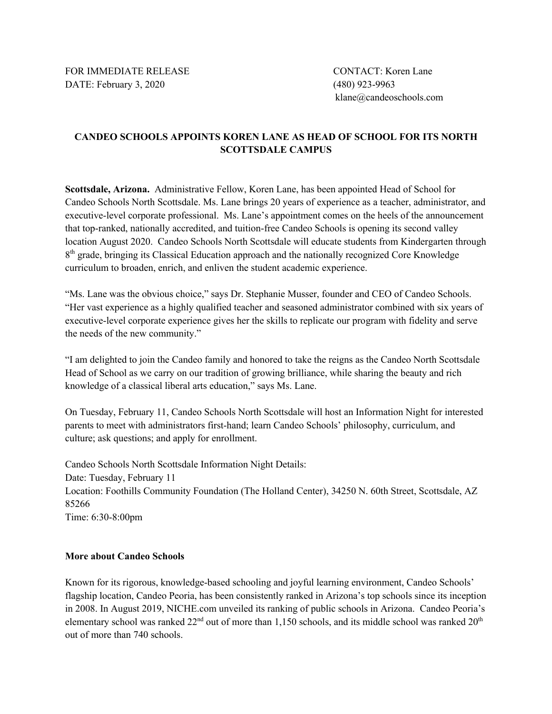FOR IMMEDIATE RELEASE CONTACT: Koren Lane DATE: February 3, 2020 (480) 923-9963

klane@candeoschools.com

## **CANDEO SCHOOLS APPOINTS KOREN LANE AS HEAD OF SCHOOL FOR ITS NORTH SCOTTSDALE CAMPUS**

**Scottsdale, Arizona.** Administrative Fellow, Koren Lane, has been appointed Head of School for Candeo Schools North Scottsdale. Ms. Lane brings 20 years of experience as a teacher, administrator, and executive-level corporate professional. Ms. Lane's appointment comes on the heels of the announcement that top-ranked, nationally accredited, and tuition-free Candeo Schools is opening its second valley location August 2020. Candeo Schools North Scottsdale will educate students from Kindergarten through 8<sup>th</sup> grade, bringing its Classical Education approach and the nationally recognized Core Knowledge curriculum to broaden, enrich, and enliven the student academic experience.

"Ms. Lane was the obvious choice," says Dr. Stephanie Musser, founder and CEO of Candeo Schools. "Her vast experience as a highly qualified teacher and seasoned administrator combined with six years of executive-level corporate experience gives her the skills to replicate our program with fidelity and serve the needs of the new community."

"I am delighted to join the Candeo family and honored to take the reigns as the Candeo North Scottsdale Head of School as we carry on our tradition of growing brilliance, while sharing the beauty and rich knowledge of a classical liberal arts education," says Ms. Lane.

On Tuesday, February 11, Candeo Schools North Scottsdale will host an Information Night for interested parents to meet with administrators first-hand; learn Candeo Schools' philosophy, curriculum, and culture; ask questions; and apply for enrollment.

Candeo Schools North Scottsdale Information Night Details: Date: Tuesday, February 11 Location: Foothills Community Foundation (The Holland Center), 34250 N. 60th Street, Scottsdale, AZ 85266 Time: 6:30-8:00pm

## **More about Candeo Schools**

Known for its rigorous, knowledge-based schooling and joyful learning environment, Candeo Schools' flagship location, Candeo Peoria, has been consistently ranked in Arizona's top schools since its inception in 2008. In August 2019, NICHE.com unveiled its ranking of public schools in Arizona. Candeo Peoria's elementary school was ranked  $22<sup>nd</sup>$  out of more than 1,150 schools, and its middle school was ranked  $20<sup>th</sup>$ out of more than 740 schools.